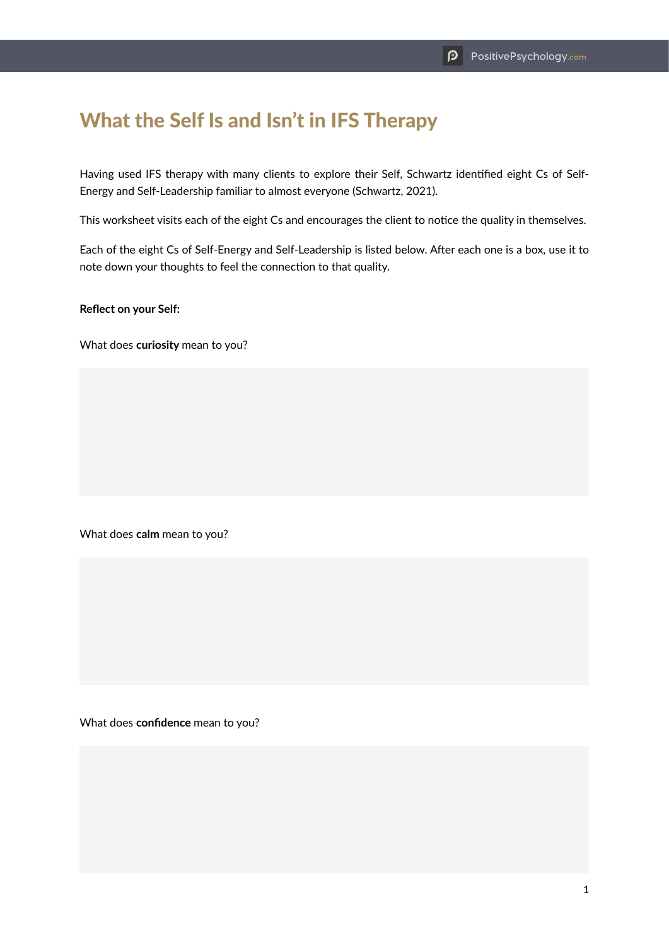## What the Self Is and Isn't in IFS Therapy

Having used IFS therapy with many clients to explore their Self, Schwartz identified eight Cs of Self-Energy and Self-Leadership familiar to almost everyone (Schwartz, 2021).

This worksheet visits each of the eight Cs and encourages the client to notice the quality in themselves.

Each of the eight Cs of Self-Energy and Self-Leadership is listed below. After each one is a box, use it to note down your thoughts to feel the connection to that quality.

**Reflect on your Self:**

What does **curiosity** mean to you?

What does **calm** mean to you?

What does **confidence** mean to you?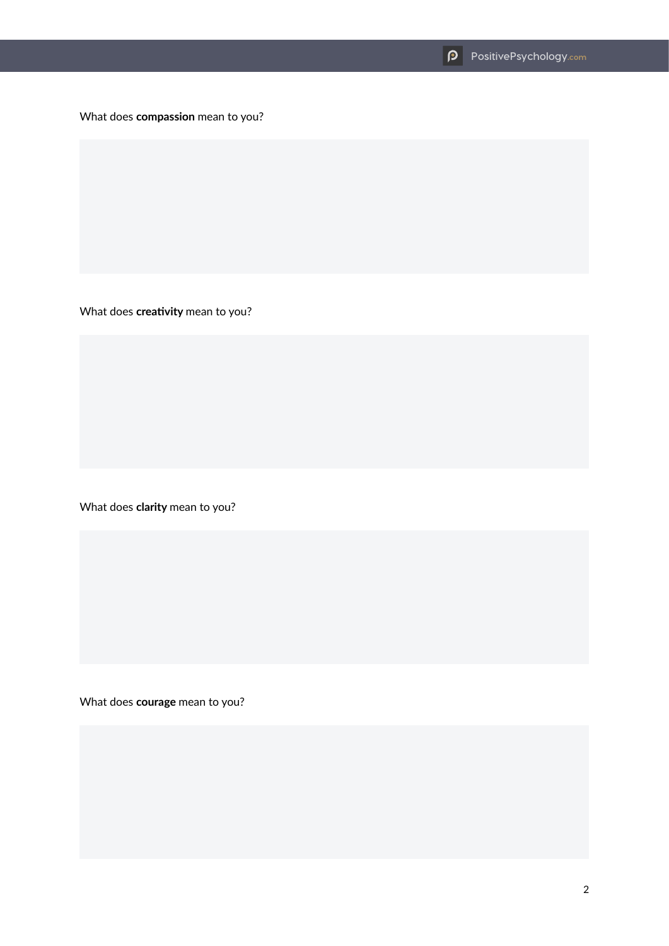What does **compassion** mean to you?

What does **creativity** mean to you?

What does **clarity** mean to you?

What does **courage** mean to you?